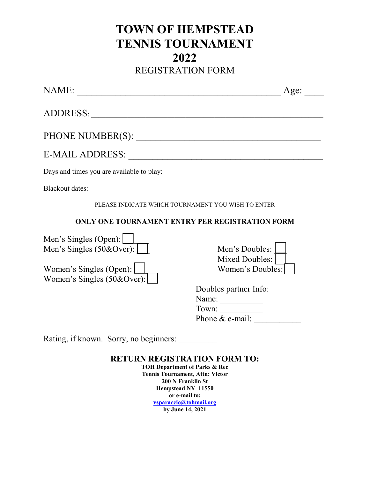## **TOWN OF HEMPSTEAD TENNIS TOURNAMENT 2022** REGISTRATION FORM

| NAME:                                                                                                                        | Age:                                                                                                       |
|------------------------------------------------------------------------------------------------------------------------------|------------------------------------------------------------------------------------------------------------|
|                                                                                                                              |                                                                                                            |
|                                                                                                                              |                                                                                                            |
|                                                                                                                              |                                                                                                            |
|                                                                                                                              |                                                                                                            |
|                                                                                                                              |                                                                                                            |
|                                                                                                                              | PLEASE INDICATE WHICH TOURNAMENT YOU WISH TO ENTER                                                         |
|                                                                                                                              | ONLY ONE TOURNAMENT ENTRY PER REGISTRATION FORM                                                            |
| Men's Singles (Open): $\Box$<br>Men's Singles $(50&Over):$<br>Women's Singles (Open): $\Box$<br>Women's Singles $(50&Over):$ | Men's Doubles:<br>Mixed Doubles:  <br>Women's Doubles:                                                     |
|                                                                                                                              | Doubles partner Info:<br>Name:<br>Town: $\frac{1}{\text{Phone } \& \text{ e-mail: } \qquad \qquad \qquad}$ |
| Rating, if known. Sorry, no beginners:                                                                                       |                                                                                                            |
|                                                                                                                              | <b>DELIBRATORE LEIGHT DABLE EQ</b>                                                                         |

## **RETURN REGISTRATION FORM TO:**

**TOH Department of Parks & Rec Tennis Tournament, Attn: Victor 200 N Franklin St Hempstead NY 11550 or e-mail to: vsparaccio@tohmail.org by June 14, 2021**